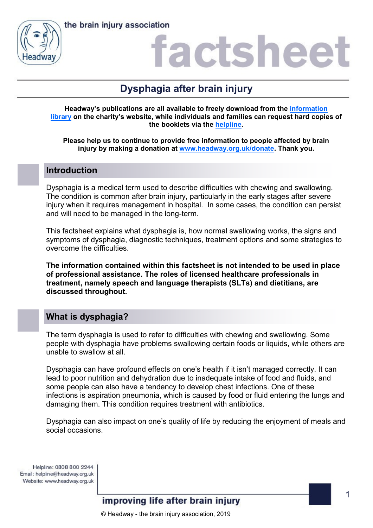



## actshee

## **Dysphagia after brain injury**

**Headway's publications are all available to freely download from the [information](https://www.headway.org.uk/about-brain-injury/individuals/information-library/)  [library](https://www.headway.org.uk/about-brain-injury/individuals/information-library/) on the charity's website, while individuals and families can request hard copies of the booklets via the [helpline.](https://www.headway.org.uk/supporting-you/helpline/)**

**Please help us to continue to provide free information to people affected by brain injury by making a donation at [www.headway.org.uk/donate.](http://www.headway.org.uk/donate) Thank you.**

### **Introduction**

Dysphagia is a medical term used to describe difficulties with chewing and swallowing. The condition is common after brain injury, particularly in the early stages after severe injury when it requires management in hospital. In some cases, the condition can persist and will need to be managed in the long-term.

This factsheet explains what dysphagia is, how normal swallowing works, the signs and symptoms of dysphagia, diagnostic techniques, treatment options and some strategies to overcome the difficulties.

**The information contained within this factsheet is not intended to be used in place of professional assistance. The roles of licensed healthcare professionals in treatment, namely speech and language therapists (SLTs) and dietitians, are discussed throughout.**

## **What is dysphagia?**

The term dysphagia is used to refer to difficulties with chewing and swallowing. Some people with dysphagia have problems swallowing certain foods or liquids, while others are unable to swallow at all.

Dysphagia can have profound effects on one's health if it isn't managed correctly. It can lead to poor nutrition and dehydration due to inadequate intake of food and fluids, and some people can also have a tendency to develop chest infections. One of these infections is aspiration pneumonia, which is caused by food or fluid entering the lungs and damaging them. This condition requires treatment with antibiotics.

Dysphagia can also impact on one's quality of life by reducing the enjoyment of meals and social occasions.

Helpline: 0808 800 2244 Email: helpline@headway.org.uk Website: www.headway.org.uk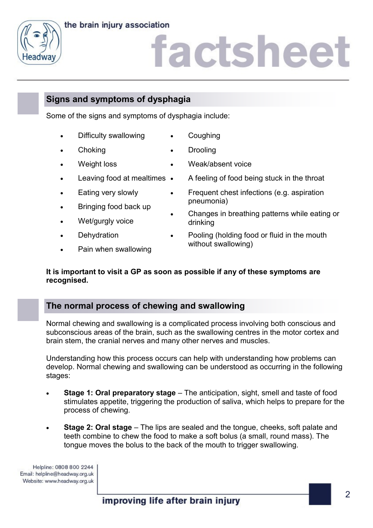



## iactsheet

## **Signs and symptoms of dysphagia**

Some of the signs and symptoms of dysphagia include:

- Difficulty swallowing **Coughing**
- 

**Choking** 

Drooling

Weak/absent voice

- Weight loss
- Leaving food at mealtimes •
- Eating very slowly
- Bringing food back up
- Wet/gurgly voice
- **Dehydration**
- Pain when swallowing
- A feeling of food being stuck in the throat
- Frequent chest infections (e.g. aspiration pneumonia)
- Changes in breathing patterns while eating or drinking
- Pooling (holding food or fluid in the mouth without swallowing)

### **It is important to visit a GP as soon as possible if any of these symptoms are recognised.**

### **The normal process of chewing and swallowing**

Normal chewing and swallowing is a complicated process involving both conscious and subconscious areas of the brain, such as the swallowing centres in the motor cortex and brain stem, the cranial nerves and many other nerves and muscles.

Understanding how this process occurs can help with understanding how problems can develop. Normal chewing and swallowing can be understood as occurring in the following stages:

- **Stage 1: Oral preparatory stage** The anticipation, sight, smell and taste of food stimulates appetite, triggering the production of saliva, which helps to prepare for the process of chewing.
- **Stage 2: Oral stage** The lips are sealed and the tongue, cheeks, soft palate and teeth combine to chew the food to make a soft bolus (a small, round mass). The tongue moves the bolus to the back of the mouth to trigger swallowing.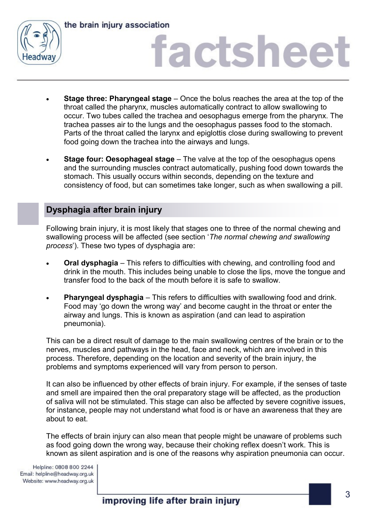

the brain injury association

# factsheet

- **Stage three: Pharyngeal stage** Once the bolus reaches the area at the top of the throat called the pharynx, muscles automatically contract to allow swallowing to occur. Two tubes called the trachea and oesophagus emerge from the pharynx. The trachea passes air to the lungs and the oesophagus passes food to the stomach. Parts of the throat called the larynx and epiglottis close during swallowing to prevent food going down the trachea into the airways and lungs.
- **Stage four: Oesophageal stage** The valve at the top of the oesophagus opens and the surrounding muscles contract automatically, pushing food down towards the stomach. This usually occurs within seconds, depending on the texture and consistency of food, but can sometimes take longer, such as when swallowing a pill.

### **Dysphagia after brain injury**

Following brain injury, it is most likely that stages one to three of the normal chewing and swallowing process will be affected (see section '*The normal chewing and swallowing process*'). These two types of dysphagia are:

- **Oral dysphagia**  This refers to difficulties with chewing, and controlling food and drink in the mouth. This includes being unable to close the lips, move the tongue and transfer food to the back of the mouth before it is safe to swallow.
- **Pharyngeal dysphagia**  This refers to difficulties with swallowing food and drink. Food may 'go down the wrong way' and become caught in the throat or enter the airway and lungs. This is known as aspiration (and can lead to aspiration pneumonia).

This can be a direct result of damage to the main swallowing centres of the brain or to the nerves, muscles and pathways in the head, face and neck, which are involved in this process. Therefore, depending on the location and severity of the brain injury, the problems and symptoms experienced will vary from person to person.

It can also be influenced by other effects of brain injury. For example, if the senses of taste and smell are impaired then the oral preparatory stage will be affected, as the production of saliva will not be stimulated. This stage can also be affected by severe cognitive issues, for instance, people may not understand what food is or have an awareness that they are about to eat.

The effects of brain injury can also mean that people might be unaware of problems such as food going down the wrong way, because their choking reflex doesn't work. This is known as silent aspiration and is one of the reasons why aspiration pneumonia can occur.

Helpline: 0808 800 2244 Email: helpline@headway.org.uk Website: www.headway.org.uk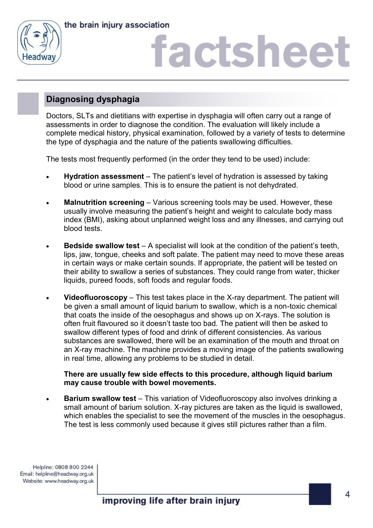



# factshee<sup>®</sup>

## **Diagnosing dysphagia**

Doctors, SLTs and dietitians with expertise in dysphagia will often carry out a range of assessments in order to diagnose the condition. The evaluation will likely include a complete medical history, physical examination, followed by a variety of tests to determine the type of dysphagia and the nature of the patients swallowing difficulties.

The tests most frequently performed (in the order they tend to be used) include:

- **Hydration assessment**  The patient's level of hydration is assessed by taking blood or urine samples. This is to ensure the patient is not dehydrated.
- **Malnutrition screening** Various screening tools may be used. However, these usually involve measuring the patient's height and weight to calculate body mass index (BMI), asking about unplanned weight loss and any illnesses, and carrying out blood tests.
- **Bedside swallow test** A specialist will look at the condition of the patient's teeth, lips, jaw, tongue, cheeks and soft palate. The patient may need to move these areas in certain ways or make certain sounds. If appropriate, the patient will be tested on their ability to swallow a series of substances. They could range from water, thicker liquids, pureed foods, soft foods and regular foods.
- **Videofluoroscopy**  This test takes place in the X-ray department. The patient will be given a small amount of liquid barium to swallow, which is a non-toxic chemical that coats the inside of the oesophagus and shows up on X-rays. The solution is often fruit flavoured so it doesn't taste too bad. The patient will then be asked to swallow different types of food and drink of different consistencies. As various substances are swallowed, there will be an examination of the mouth and throat on an X-ray machine. The machine provides a moving image of the patients swallowing in real time, allowing any problems to be studied in detail.

### **There are usually few side effects to this procedure, although liquid barium may cause trouble with bowel movements.**

**Barium swallow test** – This variation of Videofluoroscopy also involves drinking a small amount of barium solution. X-ray pictures are taken as the liquid is swallowed, which enables the specialist to see the movement of the muscles in the oesophagus. The test is less commonly used because it gives still pictures rather than a film.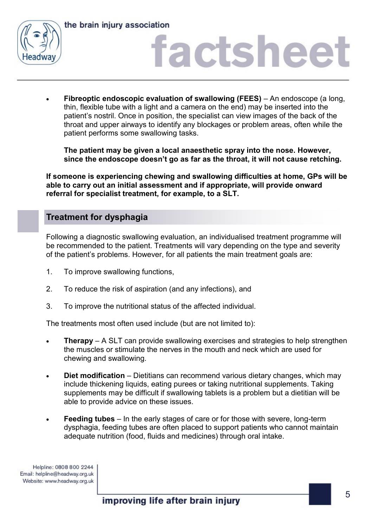



# factsheet

 **Fibreoptic endoscopic evaluation of swallowing (FEES)** – An endoscope (a long, thin, flexible tube with a light and a camera on the end) may be inserted into the patient's nostril. Once in position, the specialist can view images of the back of the throat and upper airways to identify any blockages or problem areas, often while the patient performs some swallowing tasks.

**The patient may be given a local anaesthetic spray into the nose. However, since the endoscope doesn't go as far as the throat, it will not cause retching.**

**If someone is experiencing chewing and swallowing difficulties at home, GPs will be able to carry out an initial assessment and if appropriate, will provide onward referral for specialist treatment, for example, to a SLT.**

## **Treatment for dysphagia**

Following a diagnostic swallowing evaluation, an individualised treatment programme will be recommended to the patient. Treatments will vary depending on the type and severity of the patient's problems. However, for all patients the main treatment goals are:

- 1. To improve swallowing functions,
- 2. To reduce the risk of aspiration (and any infections), and
- 3. To improve the nutritional status of the affected individual.

The treatments most often used include (but are not limited to):

- **Therapy**  A SLT can provide swallowing exercises and strategies to help strengthen the muscles or stimulate the nerves in the mouth and neck which are used for chewing and swallowing.
- **Diet modification** Dietitians can recommend various dietary changes, which may include thickening liquids, eating purees or taking nutritional supplements. Taking supplements may be difficult if swallowing tablets is a problem but a dietitian will be able to provide advice on these issues.
- **Feeding tubes**  In the early stages of care or for those with severe, long-term dysphagia, feeding tubes are often placed to support patients who cannot maintain adequate nutrition (food, fluids and medicines) through oral intake.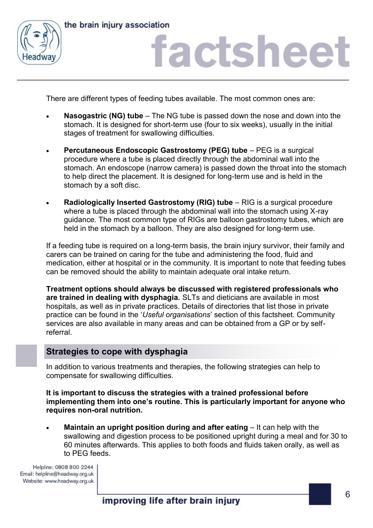



## factsheet

There are different types of feeding tubes available. The most common ones are:

- **Nasogastric (NG) tube**  The NG tube is passed down the nose and down into the stomach. It is designed for short-term use (four to six weeks), usually in the initial stages of treatment for swallowing difficulties.
- **Percutaneous Endoscopic Gastrostomy (PEG) tube** PEG is a surgical procedure where a tube is placed directly through the abdominal wall into the stomach. An endoscope (narrow camera) is passed down the throat into the stomach to help direct the placement. It is designed for long-term use and is held in the stomach by a soft disc.
- **Radiologically Inserted Gastrostomy (RIG) tube**  RIG is a surgical procedure where a tube is placed through the abdominal wall into the stomach using X-ray guidance. The most common type of RIGs are balloon gastrostomy tubes, which are held in the stomach by a balloon. They are also designed for long-term use.

If a feeding tube is required on a long-term basis, the brain injury survivor, their family and carers can be trained on caring for the tube and administering the food, fluid and medication, either at hospital or in the community. It is important to note that feeding tubes can be removed should the ability to maintain adequate oral intake return.

**Treatment options should always be discussed with registered professionals who are trained in dealing with dysphagia.** SLTs and dieticians are available in most hospitals, as well as in private practices. Details of directories that list those in private practice can be found in the '*Useful organisations*' section of this factsheet. Community services are also available in many areas and can be obtained from a GP or by selfreferral.

### **Strategies to cope with dysphagia**

In addition to various treatments and therapies, the following strategies can help to compensate for swallowing difficulties.

**It is important to discuss the strategies with a trained professional before implementing them into one's routine. This is particularly important for anyone who requires non-oral nutrition.**

**Maintain an upright position during and after eating – It can help with the** swallowing and digestion process to be positioned upright during a meal and for 30 to 60 minutes afterwards. This applies to both foods and fluids taken orally, as well as to PEG feeds.

Helpline: 0808 800 2244 Email: helpline@headway.org.uk Website: www.headway.org.uk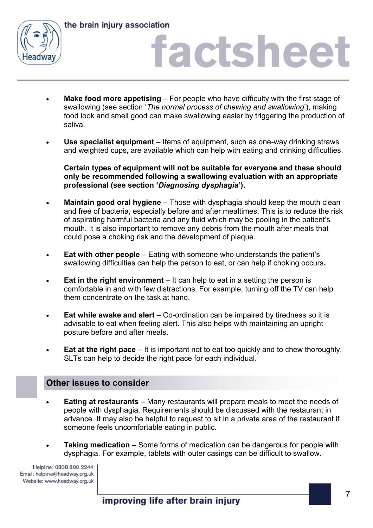

the brain injury association

# factsheet

- **Make food more appetising**  For people who have difficulty with the first stage of swallowing (see section '*The normal process of chewing and swallowing*'), making food look and smell good can make swallowing easier by triggering the production of saliva.
- **Use specialist equipment**  Items of equipment, such as one-way drinking straws and weighted cups, are available which can help with eating and drinking difficulties.

**Certain types of equipment will not be suitable for everyone and these should only be recommended following a swallowing evaluation with an appropriate professional (see section '***Diagnosing dysphagia***').**

- **Maintain good oral hygiene**  Those with dysphagia should keep the mouth clean and free of bacteria, especially before and after mealtimes. This is to reduce the risk of aspirating harmful bacteria and any fluid which may be pooling in the patient's mouth. It is also important to remove any debris from the mouth after meals that could pose a choking risk and the development of plaque.
- **Eat with other people**  Eating with someone who understands the patient's swallowing difficulties can help the person to eat, or can help if choking occurs**.**
- **Eat in the right environment**  It can help to eat in a setting the person is comfortable in and with few distractions. For example, turning off the TV can help them concentrate on the task at hand.
- **Eat while awake and alert**  Co-ordination can be impaired by tiredness so it is advisable to eat when feeling alert. This also helps with maintaining an upright posture before and after meals.
- **Eat at the right pace** It is important not to eat too quickly and to chew thoroughly. SLTs can help to decide the right pace for each individual.

### **Other issues to consider**

- **Eating at restaurants**  Many restaurants will prepare meals to meet the needs of people with dysphagia. Requirements should be discussed with the restaurant in advance. It may also be helpful to request to sit in a private area of the restaurant if someone feels uncomfortable eating in public.
- **Taking medication**  Some forms of medication can be dangerous for people with dysphagia. For example, tablets with outer casings can be difficult to swallow.

Helpline: 0808 800 2244 Email: helpline@headway.org.uk Website: www.headway.org.uk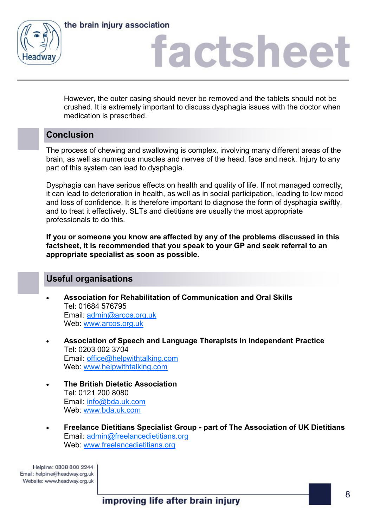



## factsheet

However, the outer casing should never be removed and the tablets should not be crushed. It is extremely important to discuss dysphagia issues with the doctor when medication is prescribed.

## **Conclusion**

The process of chewing and swallowing is complex, involving many different areas of the brain, as well as numerous muscles and nerves of the head, face and neck. Injury to any part of this system can lead to dysphagia.

Dysphagia can have serious effects on health and quality of life. If not managed correctly, it can lead to deterioration in health, as well as in social participation, leading to low mood and loss of confidence. It is therefore important to diagnose the form of dysphagia swiftly, and to treat it effectively. SLTs and dietitians are usually the most appropriate professionals to do this.

**If you or someone you know are affected by any of the problems discussed in this factsheet, it is recommended that you speak to your GP and seek referral to an appropriate specialist as soon as possible.**

### **Useful organisations**

- **Association for Rehabilitation of Communication and Oral Skills** Tel: 01684 576795 Email: [admin@arcos.org.uk](mailto:admin@arcos.org.uk) Web: [www.arcos.org.uk](http://www.arcos.org.uk)
- **Association of Speech and Language Therapists in Independent Practice** Tel: 0203 002 3704 Email: [office@helpwithtalking.com](mailto:office@helpwithtalking.com) Web: [www.helpwithtalking.com](http://www.helpwithtalking.com)
- **The British Dietetic Association** Tel: 0121 200 8080 Email: [info@bda.uk.com](mailto:info@bda.uk.com) Web: [www.bda.uk.com](http://www.bda.uk.com)
- **Freelance Dietitians Specialist Group - part of The Association of UK Dietitians** Email: [admin@freelancedietitians.org](mailto:admin@freelancedietitians.org) Web: [www.freelancedietitians.org](http://www.freelancedietitians.org)

Helpline: 0808 800 2244 Email: helpline@headway.org.uk Website: www.headway.org.uk